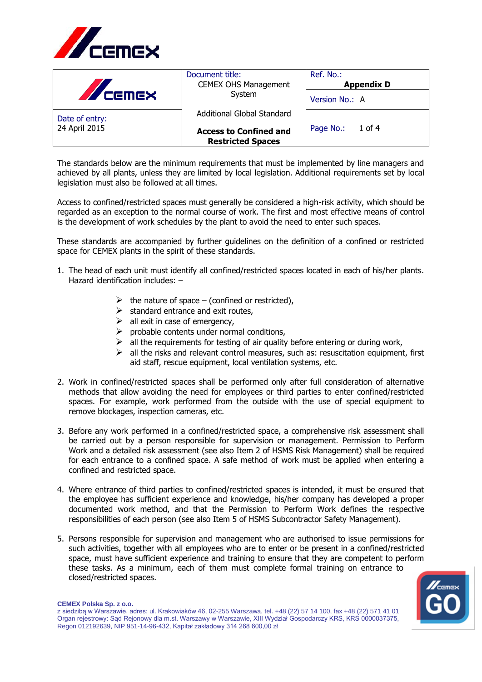

| <b>AZ CEMEX</b> | Document title:<br><b>CEMEX OHS Management</b><br>System  | Ref. No.:<br><b>Appendix D</b> |
|-----------------|-----------------------------------------------------------|--------------------------------|
|                 |                                                           | Version No.: A                 |
| Date of entry:  | Additional Global Standard                                |                                |
| 24 April 2015   | <b>Access to Confined and</b><br><b>Restricted Spaces</b> | Page No.: 1 of 4               |

The standards below are the minimum requirements that must be implemented by line managers and achieved by all plants, unless they are limited by local legislation. Additional requirements set by local legislation must also be followed at all times.

Access to confined/restricted spaces must generally be considered a high-risk activity, which should be regarded as an exception to the normal course of work. The first and most effective means of control is the development of work schedules by the plant to avoid the need to enter such spaces.

These standards are accompanied by further guidelines on the definition of a confined or restricted space for CEMEX plants in the spirit of these standards.

- 1. The head of each unit must identify all confined/restricted spaces located in each of his/her plants. Hazard identification includes: –
	- $\triangleright$  the nature of space (confined or restricted),
	- $\triangleright$  standard entrance and exit routes,
	- $\triangleright$  all exit in case of emergency,
	- $\triangleright$  probable contents under normal conditions,
	- $\triangleright$  all the requirements for testing of air quality before entering or during work,
	- $\triangleright$  all the risks and relevant control measures, such as: resuscitation equipment, first aid staff, rescue equipment, local ventilation systems, etc.
- 2. Work in confined/restricted spaces shall be performed only after full consideration of alternative methods that allow avoiding the need for employees or third parties to enter confined/restricted spaces. For example, work performed from the outside with the use of special equipment to remove blockages, inspection cameras, etc.
- 3. Before any work performed in a confined/restricted space, a comprehensive risk assessment shall be carried out by a person responsible for supervision or management. Permission to Perform Work and a detailed risk assessment (see also Item 2 of HSMS Risk Management) shall be required for each entrance to a confined space. A safe method of work must be applied when entering a confined and restricted space.
- 4. Where entrance of third parties to confined/restricted spaces is intended, it must be ensured that the employee has sufficient experience and knowledge, his/her company has developed a proper documented work method, and that the Permission to Perform Work defines the respective responsibilities of each person (see also Item 5 of HSMS Subcontractor Safety Management).
- 5. Persons responsible for supervision and management who are authorised to issue permissions for such activities, together with all employees who are to enter or be present in a confined/restricted space, must have sufficient experience and training to ensure that they are competent to perform these tasks. As a minimum, each of them must complete formal training on entrance to closed/restricted spaces.



## **CEMEX Polska Sp. z o.o.**

z siedzibą w Warszawie, adres: ul. Krakowiaków 46, 02-255 Warszawa, tel. +48 (22) 57 14 100, fax +48 (22) 571 41 01 Organ rejestrowy: Sąd Rejonowy dla m.st. Warszawy w Warszawie, XIII Wydział Gospodarczy KRS, KRS 0000037375, Regon 012192639, NIP 951-14-96-432, Kapitał zakładowy 314 268 600,00 zł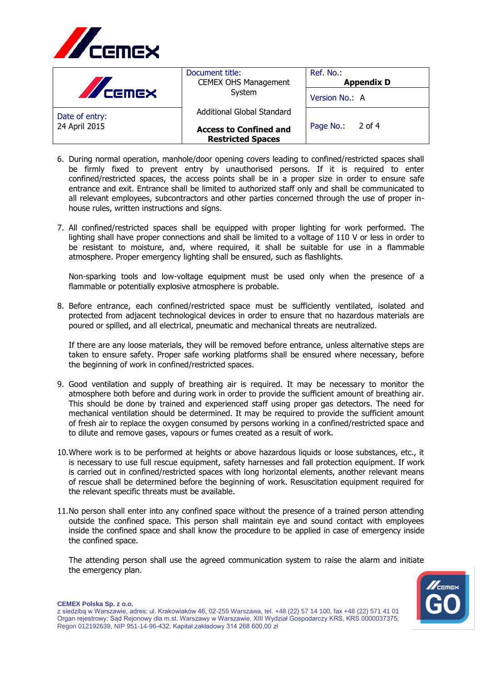

| <b>A</b> CEMEX | Document title:<br><b>CEMEX OHS Management</b><br>System  | Ref. No.:<br><b>Appendix D</b> |
|----------------|-----------------------------------------------------------|--------------------------------|
|                |                                                           | Version No.: A                 |
| Date of entry: | Additional Global Standard                                |                                |
| 24 April 2015  | <b>Access to Confined and</b><br><b>Restricted Spaces</b> | Page No.: 2 of 4               |

- 6. During normal operation, manhole/door opening covers leading to confined/restricted spaces shall be firmly fixed to prevent entry by unauthorised persons. If it is required to enter confined/restricted spaces, the access points shall be in a proper size in order to ensure safe entrance and exit. Entrance shall be limited to authorized staff only and shall be communicated to all relevant employees, subcontractors and other parties concerned through the use of proper inhouse rules, written instructions and signs.
- 7. All confined/restricted spaces shall be equipped with proper lighting for work performed. The lighting shall have proper connections and shall be limited to a voltage of 110 V or less in order to be resistant to moisture, and, where required, it shall be suitable for use in a flammable atmosphere. Proper emergency lighting shall be ensured, such as flashlights.

Non-sparking tools and low-voltage equipment must be used only when the presence of a flammable or potentially explosive atmosphere is probable.

8. Before entrance, each confined/restricted space must be sufficiently ventilated, isolated and protected from adjacent technological devices in order to ensure that no hazardous materials are poured or spilled, and all electrical, pneumatic and mechanical threats are neutralized.

If there are any loose materials, they will be removed before entrance, unless alternative steps are taken to ensure safety. Proper safe working platforms shall be ensured where necessary, before the beginning of work in confined/restricted spaces.

- 9. Good ventilation and supply of breathing air is required. It may be necessary to monitor the atmosphere both before and during work in order to provide the sufficient amount of breathing air. This should be done by trained and experienced staff using proper gas detectors. The need for mechanical ventilation should be determined. It may be required to provide the sufficient amount of fresh air to replace the oxygen consumed by persons working in a confined/restricted space and to dilute and remove gases, vapours or fumes created as a result of work.
- 10.Where work is to be performed at heights or above hazardous liquids or loose substances, etc., it is necessary to use full rescue equipment, safety harnesses and fall protection equipment. If work is carried out in confined/restricted spaces with long horizontal elements, another relevant means of rescue shall be determined before the beginning of work. Resuscitation equipment required for the relevant specific threats must be available.
- 11.No person shall enter into any confined space without the presence of a trained person attending outside the confined space. This person shall maintain eye and sound contact with employees inside the confined space and shall know the procedure to be applied in case of emergency inside the confined space.

The attending person shall use the agreed communication system to raise the alarm and initiate the emergency plan.



**CEMEX Polska Sp. z o.o.**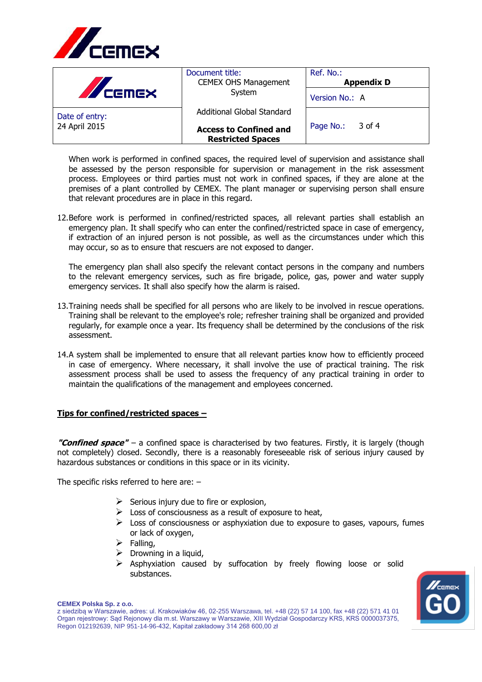

| <b>AVERIEX</b> | Document title:<br><b>CEMEX OHS Management</b><br>System  | Ref. No.:<br><b>Appendix D</b> |
|----------------|-----------------------------------------------------------|--------------------------------|
|                |                                                           | Version No.: A                 |
| Date of entry: | Additional Global Standard                                |                                |
| 24 April 2015  | <b>Access to Confined and</b><br><b>Restricted Spaces</b> | $3$ of 4<br>Page No.:          |

When work is performed in confined spaces, the required level of supervision and assistance shall be assessed by the person responsible for supervision or management in the risk assessment process. Employees or third parties must not work in confined spaces, if they are alone at the premises of a plant controlled by CEMEX. The plant manager or supervising person shall ensure that relevant procedures are in place in this regard.

12.Before work is performed in confined/restricted spaces, all relevant parties shall establish an emergency plan. It shall specify who can enter the confined/restricted space in case of emergency, if extraction of an injured person is not possible, as well as the circumstances under which this may occur, so as to ensure that rescuers are not exposed to danger.

The emergency plan shall also specify the relevant contact persons in the company and numbers to the relevant emergency services, such as fire brigade, police, gas, power and water supply emergency services. It shall also specify how the alarm is raised.

- 13.Training needs shall be specified for all persons who are likely to be involved in rescue operations. Training shall be relevant to the employee's role; refresher training shall be organized and provided regularly, for example once a year. Its frequency shall be determined by the conclusions of the risk assessment.
- 14.A system shall be implemented to ensure that all relevant parties know how to efficiently proceed in case of emergency. Where necessary, it shall involve the use of practical training. The risk assessment process shall be used to assess the frequency of any practical training in order to maintain the qualifications of the management and employees concerned.

## **Tips for confined/restricted spaces –**

**"Confined space"** – a confined space is characterised by two features. Firstly, it is largely (though not completely) closed. Secondly, there is a reasonably foreseeable risk of serious injury caused by hazardous substances or conditions in this space or in its vicinity.

The specific risks referred to here are: –

- $\triangleright$  Serious injury due to fire or explosion,
- $\triangleright$  Loss of consciousness as a result of exposure to heat,
- $\triangleright$  Loss of consciousness or asphyxiation due to exposure to gases, vapours, fumes or lack of oxygen,
- $\triangleright$  Falling,
- $\triangleright$  Drowning in a liquid,
- ➢ Asphyxiation caused by suffocation by freely flowing loose or solid substances.